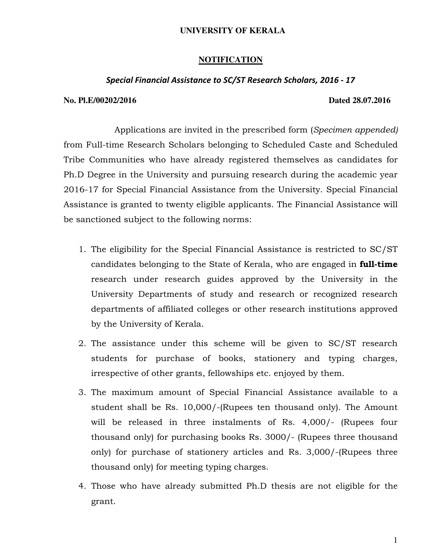## **UNIVERSITY OF KERALA**

# **NOTIFICATION**

## Special Financial Assistance to SC/ST Research Scholars, 2016 - 17

#### **No. Pl.E/00202/2016 Dated 28.07.2016**

 Applications are invited in the prescribed form (Specimen appended) from Full-time Research Scholars belonging to Scheduled Caste and Scheduled Tribe Communities who have already registered themselves as candidates for Ph.D Degree in the University and pursuing research during the academic year 2016-17 for Special Financial Assistance from the University. Special Financial Assistance is granted to twenty eligible applicants. The Financial Assistance will be sanctioned subject to the following norms:

- 1. The eligibility for the Special Financial Assistance is restricted to SC/ST candidates belonging to the State of Kerala, who are engaged in **full-time** research under research guides approved by the University in the University Departments of study and research or recognized research departments of affiliated colleges or other research institutions approved by the University of Kerala.
- 2. The assistance under this scheme will be given to SC/ST research students for purchase of books, stationery and typing charges, irrespective of other grants, fellowships etc. enjoyed by them.
- 3. The maximum amount of Special Financial Assistance available to a student shall be Rs. 10,000/-(Rupees ten thousand only). The Amount will be released in three instalments of Rs. 4,000/- (Rupees four thousand only) for purchasing books Rs. 3000/- (Rupees three thousand only) for purchase of stationery articles and Rs. 3,000/-(Rupees three thousand only) for meeting typing charges.
- 4. Those who have already submitted Ph.D thesis are not eligible for the grant.